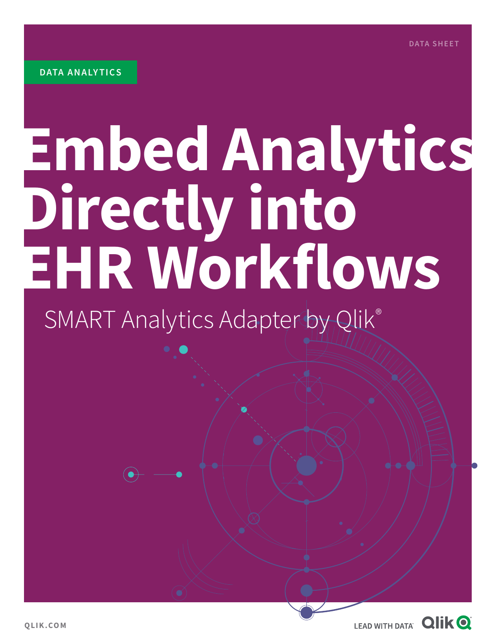# **Embed Analytics Directly into EHR Workflows**

# SMART Analytics Adapter by Qlik®

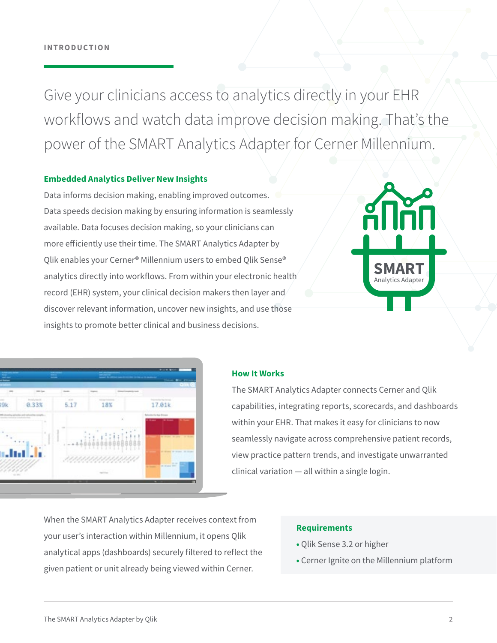Give your clinicians access to analytics directly in your EHR workflows and watch data improve decision making. That's the power of the SMART Analytics Adapter for Cerner Millennium.

#### **Embedded Analytics Deliver New Insights**

Data informs decision making, enabling improved outcomes. Data speeds decision making by ensuring information is seamlessly available. Data focuses decision making, so your clinicians can more efficiently use their time. The SMART Analytics Adapter by Qlik enables your Cerner® Millennium users to embed Qlik Sense® analytics directly into workflows. From within your electronic health record (EHR) system, your clinical decision makers then layer and discover relevant information, uncover new insights, and use those insights to promote better clinical and business decisions.



| mte                        | <b>Ballie</b>  | Transit          | <b>ATLANTA CALLS</b> | <b>OIR</b>                                            |
|----------------------------|----------------|------------------|----------------------|-------------------------------------------------------|
| Decision from its<br>0.33% | $\sim$<br>5.17 | 18%              |                      | 17.01k                                                |
|                            | ٠              |                  | $\overline{a}$       | <b>Schedule Service Streets</b><br><b>Billian</b><br> |
|                            | ٠              |                  |                      | $-11.1$<br>۰<br>-                                     |
|                            |                |                  | ı                    | ٠<br><b>SECURITY</b>                                  |
|                            |                | 1111111111111111 |                      | $1 - 1$                                               |
| $-100$                     |                | metric.          |                      |                                                       |

#### **How It Works**

The SMART Analytics Adapter connects Cerner and Qlik capabilities, integrating reports, scorecards, and dashboards within your EHR. That makes it easy for clinicians to now seamlessly navigate across comprehensive patient records, view practice pattern trends, and investigate unwarranted clinical variation — all within a single login.

When the SMART Analytics Adapter receives context from your user's interaction within Millennium, it opens Qlik analytical apps (dashboards) securely filtered to reflect the given patient or unit already being viewed within Cerner.

#### **Requirements**

- **•** Qlik Sense 3.2 or higher
- **•** Cerner Ignite on the Millennium platform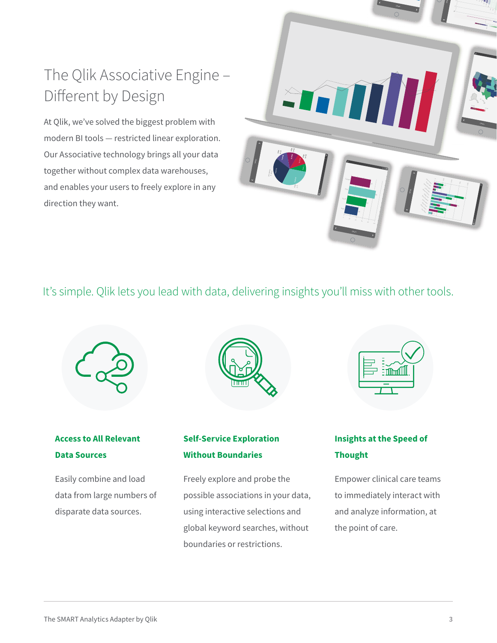### The Qlik Associative Engine – Different by Design

At Qlik, we've solved the biggest problem with modern BI tools — restricted linear exploration. Our Associative technology brings all your data together without complex data warehouses, and enables your users to freely explore in any direction they want.



#### It's simple. Qlik lets you lead with data, delivering insights you'll miss with other tools.



#### **Access to All Relevant Data Sources**

Easily combine and load data from large numbers of disparate data sources.



#### **Self-Service Exploration Without Boundaries**

Freely explore and probe the possible associations in your data, using interactive selections and global keyword searches, without boundaries or restrictions.

| <b>Enforced</b> |  |
|-----------------|--|
|                 |  |

#### **Insights at the Speed of Thought**

Empower clinical care teams to immediately interact with and analyze information, at the point of care.